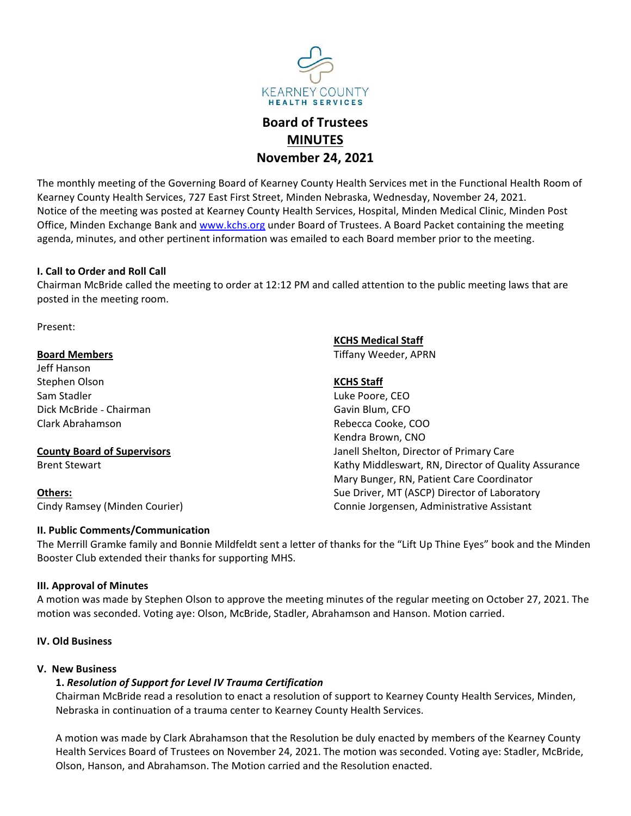

# MINUTES

EARNEY COUNTY<br>
HEALTH SERVICES<br> **Board of Trustees<br>
MINUTES**<br> **Board of Trustees<br>
MINUTES**<br> **Rearney County Health Services met in the Functional Health Room of<br>
reet. Minden Nebraska. Wednesdav. November 24. 2021. SEARNEY COUNTY<br>
HEALTH SERVICES<br>
Board of Trustees<br>
MINUTES<br>
November 24, 2021<br>
Externey County Health Services met in the Functional Health Room of<br>
Intert, Minden Nebraska, Wednesday, November 24, 2021.<br>
Junty Health Se** THE MONTHY THE MATTENT SERVICES<br> **THE MONTH SERVICES**<br> **THE MONTH SERVICES**<br> **THE MONTH SERVICES**<br> **NOW THE PROPERT 24, 2021**<br> **NOW THE PROPERT 24, 2021**<br>
Notice of the meeting was posted at Kearney County Health Services KEARIEY COUNTY<br>
HEALTH SERVICES<br> **Board of Trustees**<br> **Board of Trustees**<br> **County Health Services, 727 East First Street, Minden Nebraska, Wednesday, November 24, 2021.**<br>
The monthly meeting of the Governing Board of Kear Notice of the Governing Board of Trustees<br>
MINUTES<br>
Notember 24, 2021<br>
The monthly meeting of the Governing Board of Kearney County Health Services met in the Functional Health Room of<br>
Kearney County Health Services, Hosp EXERINEY COUNTY<br> **EXERINEY COUNTY**<br> **EXERINE BOARD OF Trustees<br>
<b>MINUTES**<br> **November 24, 2021**<br>
The monthly meeting of the Governing Board of Kearney County Health Services met in the Functional Health Room of<br>
Kearney Cou **EXERIME VEOUNTY**<br> **EXERIME VEOUNTY**<br> **AGENT COUNTY**<br> **AGENT COUNTY**<br> **AGENT COUNTY**<br> **AGENT COUNTY**<br> **AGENT COUNTY**<br> **AGENT COUNTY**<br> **AGENT COUNTY**<br> **AGENT COUNTY**<br> **AGENT COUNTY**<br> **AGENT COUNTY**<br> **AGENT COUNTY**<br> **AGENT C** EXAITHY<br>
INCREAST COUNTY<br>
INCREAST SERVICES<br> **INNUTES**<br> **INNUTES**<br> **INNUTES**<br> **INNUTES**<br> **INNUTES**<br> **INNUTES**<br> **INNUTES**<br> **INNUTES**<br> **INNUTES**<br> **INNUTES**<br> **INNUTES**<br> **INNUTES**<br> **INNUTES**<br> **INNUTES**<br> **INNUTES**<br> **INNUTES**<br> CHAIRMEY COUNTY<br>
MEALTH SERVICES<br> **BOAT OF THEATTH SERVICES**<br> **CHAIRMEY COUNTY**<br> **CHAIRMEY COUNTY HEATTH SERVICES**<br> **CHAIRMEY COUNTY HEATTES ACT DEST FIRTS STRENGENT AND THE MAND CALLED THAT AND CALLED AND CALLED AND CONTR** EXEREY COUNTY<br>
FEARNEY COUNTY<br>
FEARNEY COUNTY<br>
FEARNEY COUNTY<br>
FEARNEY COUNTY<br>
FEARNEY COUNTY<br>
FEARNEY COUNTY<br>
REARNEY COUNTY<br>
REARNEY COUNTY<br>
NOVEMBET 24, 2021<br>
MOVEMBET 24, 2021<br>
MOVEMBET 24, 2021<br>
MOVEMBET 24, 2021<br>
THE **Board of Trustees**<br> **Board of Trustees**<br> **Board of Trustees**<br> **Board of Trustees**<br> **Board of Trustees**<br> **Board of Trustees**<br> **Rowern 24, 2021**<br>
The monthly meeting of the Governing Board of Kearney County Health Services, **Board of Trustees**<br> **MINUTES**<br> **November 24, 2021**<br>
The monthly meeting of the Governing Board of Kearney County Health Service<br>
Nearney County Health Services, 727 East First Street, Minden Nebraska, Wed<br>
Notice of the m **State Conservation Control Control Control Control Control Control Control Control Control Control Conservation**<br>
Stephen Olson Stephen Olson New Member 24, 2021<br>
Notice of the meeting was posted at Kearney County Health MINUTES<br>
Solution: The monthly meeting of the Governing Board of Kearney County Health Service<br>
November 24, 2021<br>
November 24, 2021<br>
November 24, 2021<br>
November 24, 2021<br>
November 24, 2021<br>
November 24, 2021<br>
November 24, **Solution: The monthly meeting of the Governing Board of Kearney County Health Services, 1978**<br>
Externey County Health Services, 727 East First Street, Minden Nebraska, Wed<br>
Notice of the meeting was posted at Kearney Coun The monthly meeting of the Governing Board of Kearney County Health Service<br>
Kearney County Health Services, 727 East First Street, Minden Nebraska, Wedn<br>
Notice of the meeting was posted at Kearney County Health Services, Examey County Health Services, 727 East First Street, Minden Nebraska, Wednesday, Nov<br>
Notice of the meeting was posted at Kearney County Health Services, Hospital, Minden Me<br>
Office, Minden Exchange Bank and <u>www.kchs.org</u> Notice of the meeting was posted at Kearney County Health Services, Hospital,<br>Office, Minden Exchange Bank and <u>www.kchs.org</u> under Board of Trustees. A Be<br>agenda, minutes, and other pertinent information was emailed to ea VIDETY<br> **ULACT STAGES**<br> **ULACT STAGES**<br> **ULACT STAGES**<br> **EXECTS**<br> **EXECTS**<br> **EXECTS**<br> **EXECTS**<br> **EXECTS**<br> **EXECTS**<br> **EXECTS**<br> **EXECTS**<br> **EXECTS**<br> **EXECTS**<br> **EXECTS**<br> **EXECTS**<br> **EXECTS**<br> **EXECTS**<br> **EXECTS**<br> **EXECTS**<br> **EXECT ISTERES:**<br> **ISTERES:**<br> **ISTERES:**<br> **ISTERES:**<br> **ISTERES:**<br> **ISTERES:**<br> **ISTERES:**<br> **ISTERES:**<br> **ISTERES:**<br> **ISTERES:**<br> **ISTERES:**<br> **ISTERES:**<br> **ISTERES:**<br> **ISTERES:**<br> **ISTERES:**<br> **ISTERES:**<br> **ISTERES:**<br> **ISTERES:**<br> **ISTER** 

Present:

## Others:

**I. Call to Order and Roll Call**<br>
Chairman McBride called the meeting to order at 12:12 PM and called attention to the public me<br>
posted in the meeting room.<br>
Present:<br> **Board Members**<br>
Eff Hanson<br>
Stephen Olson<br>
Stephen O **ESALE ASSEMAL STAGES SET ASSEMAL STAGES SET ASSEMAL SET ASSEMAL THAND AND AN INCREDIBUTED ASSEMAL STAGES, Hospital, Minden Medical Clinic, Minden Post Trustees. A Board Packet containing the meeting o each Board member pr** 1, 2021<br>
1, 2021<br>
Health Services met in the Functional Health Room of<br>
ebraska, Wednesday, November 24, 2021.<br>
rices, Hospital, Minden Medical Clinic, Minden Post<br>
f Trustees. A Board Packet containing the meeting.<br>
2010 **4, 2021**<br>
Health Services met in the Functional Health Room of<br>
ebraska, Wednesday, November 24, 2021.<br>
rices, Hospital, Minden Medical Clinic, Minden Post<br>
f Trustees. A Board Packet containing the meeting<br>
o each Board Health Services met in the Functional Health Room of<br>bbraska, Wednesday, November 24, 2021.<br>rices, Hospital, Minden Medical Clinic, Minden Post<br>f Trustees. A Board Packet containing the meeting<br>o each Board member prior to Health Services met in the Functional Health Room of<br>Peraska, Wednesday, November 24, 2021.<br>Itics, Hospital, Minden Medical Clinic, Minden Post<br>if Trustees. A Board Packet containing the meeting<br>o each Board member prior t ebraska, Wednesday, November 24, 2021.<br>
rices, Hospital, Minden Medical Clinic, Minden Post<br>
f Trustees. A Board Packet containing the meeting<br>
o each Board member prior to the meeting.<br>
<br>
called attention to the public me rices, Hospital, Minden Medical Clinic, Minden Post<br>FTrustees. A Board Packet containing the meeting<br>o each Board member prior to the meeting.<br><br>Called attention to the public meeting laws that are<br><br>**KCHS Medical Staff**<br>ITi f Trustees. A Board Packet containing the meeting<br>
o each Board member prior to the meeting.<br>
called attention to the public meeting laws that are<br> **KCHS Medical Staff**<br> **Tiffany Weeder, APRN**<br> **KCHS Staff**<br> **KCHS Staff**<br> o each Board member prior to the meeting.<br>
called attention to the public meeting laws that are<br> **KCHS Medical Staff**<br>
Tiffany Weeder, APRN<br> **KCHS Staff**<br>
Luke Poore, CEO<br>
Gavin Blum, CFO<br>
Rebecca Cooke, COO<br>
Kendra Brown, called attention to the public meeting laws that are<br>
<u>KCHS Medical Staff</u><br>
Tiffany Weeder, APRN<br>
<u>KCHS Staff</u><br>
Luke Poore, CEO<br>
Gavin Blum, CFO<br>
Rebecca Cooke, COO<br>
Kendra Brown, CNO<br>
Kathy Middleswart, RN, Director of Qu Chainman Wisington Communication<br>
Expected in the meeting room.<br>
The Merrican Expectent:<br> **Examed Members**<br> **Examed Members**<br> **Examed Members**<br> **Examed Members**<br> **Examed Members**<br> **Examed Members**<br> **Examed Members**<br> **Examp** Present:<br> **Board Members**<br> **Board Members**<br>
Stephen Olson<br>
Stephen Olson<br>
Stephen Olson<br>
Stephen Olson<br>
Clark McBride - Chairman<br>
Clark McBride - Chairman<br>
Clark McBride - Chairman<br>
Clark McBride - Chairman<br>
Clark McBride Present:<br> **EXAMERICAL SCAME SCAME CONTEX CONTINUES**<br>
Stephen Olson<br>
Stephen Olson<br>
Stephen Olson<br>
Stephen Olson<br>
Sam Stadler<br>
Dick McBride - Chairman<br>
Clark Abrahamson<br> **COLOGET CONTY Board of Supervisors**<br> **COLOGET CONTY Board Members**<br>
Stephen Olson<br>
Stephen Olson<br>
Stephen Olson<br>
Stephen Olson<br>
Dick McBride - Chairman<br>
Unive Poore, CCO<br>
Dick McBride - Chairman<br>
Clark Abrahamson<br>
County Board of Supervisors<br>
Stephen Olson to approving Mil exame members<br>
Stamps and Sampler (ECHS Staff<br>
Sam Stadler<br>
Sam Stadler<br>
Club McBride - Chairman<br>
Sam Stadler<br>
Club McBride - Chairman<br>
Sam Stadler<br>
Brent Stewart<br>
Brent Stewart<br>
Brent Stewart<br>
Samsey (Minden Courier)<br>
Mar Examples and of Supervisors and Hanson and Hanson Computer and Mechanism of the Several Condity Nessurance Intervent Condity Mechanism (ND)<br>
1. Resolution Support For Condition Mechanism (ND)<br>
1. Resolution of Capital Mech

Communication<br>
Chairman McBridte called the meeting to order at 12:12 PM and called attention to<br>
posted in the meeting room.<br>
Present:<br> **Exchis Medical Star**<br>
Exchis Medical Star<br>
Exchis Medical Star<br>
Exchis Medical Star<br> Stam Stadler<br>
Sam Stadler<br>
Sam Stadler<br>
Clark Abrahamson<br>
Clark Abrahamson<br>
Clark Abrahamson<br> **County Board of Supervisors**<br> **County Board of Supervisors**<br> **County Board of Supervisors**<br> **County Board of Supervisors**<br> **Cou** DENTEANT THE CONFIDENTIFY CONTROLLER ADENDMENT CONTENT TO THE RESIDENT AND REPORT ON THE REFINITION COUNTY BOAT OF SUPERVISORS SERVERT SERVERT CONFIDENT SERVERT CONFIDENT THE METIL IS CANNOF MIGHT ON MATHEM MATHEM MATHEM M

**nty Board of Supervisors**<br>
Exervant a revenue of Suality Assurance<br>
Exervant and Shelton, Director of Primary Care<br>
Mary Middelevant, RN, Director of Cuality Assurance<br>
My Ramsey (Minden Courier)<br>
We Driver, MT (ASCP) Dir Nebraska in continuation of a trauma center to Kearney County Health Services. Medicine of the May Burget, RN, Pattent Care Coordinator<br>
New York Services, May Divery, FM, Pattent Care Coordinator<br>
Services, MR, Pattent Ca EXELEM Minden Courier)<br>
Sue Driver, MT (ASCP) Director of Laboratory<br>
Units Comments/Communication<br>
Units Commets/Communication<br>
Merrill Granke family and Bonnie Mildfeldt sent a letter of thanks for the "Lift Up Thine Eye Health Services Board of Trustees on November 24, 2021. The motion of Laboratov in Consideration<br>
Werrill Gramke family and Bonnie Midfeldt sent a letter of thanks for the "Lift Up Thine Eyes" book and the Minden<br>
Merrill Unimization Metric Communication<br>
Unimization Communication<br>
Merrill Gramke family and Bonnie Mildfeldt sent a letter of thanks for the "Lift Up Thine Eyes" book and the Minden<br>
ster Club extended their thanks for supporti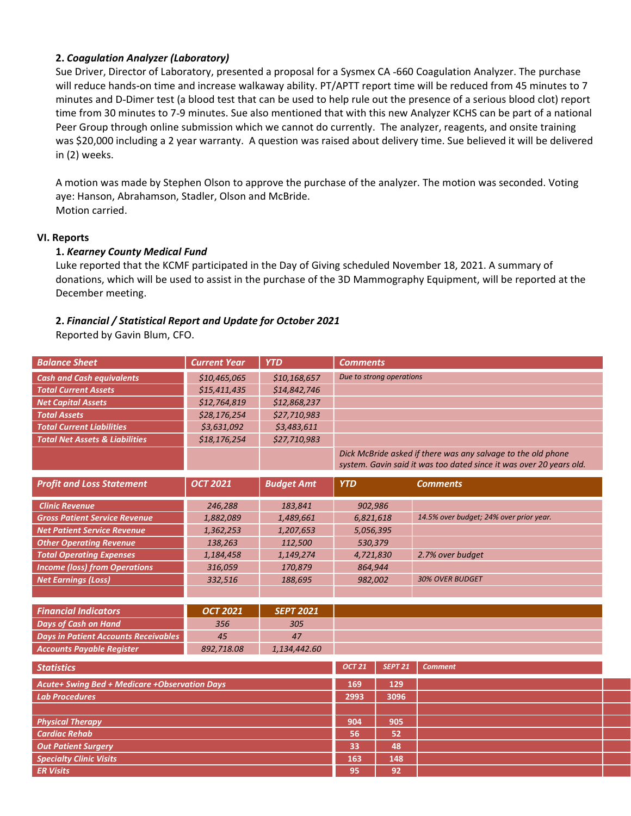**2. Coagulation Analyzer (Laboratory)**<br>Sue Driver, Director of Laboratory, presented a proposal for a Sysmex CA -660 Coagulation Analyze<br>will reduce hands-on time and increase walkaway ability. PT/APTT report time will be **2. Coagulation Analyzer (Laboratory)**<br>Sue Driver, Director of Laboratory, presented a proposal for a Sysmex CA -660 Coagulation Analyzer. The purchase<br>will reduce hands-on time and increase walkaway ability. PT/APTT repor **2. Coagulation Analyzer (Laboratory)**<br>Sue Driver, Director of Laboratory, presented a proposal for a Sysmex CA -660 Coagulation Analyzer. The purchase<br>will reduce hands-on time and increase walkaway ability. PT/APTT repor **2. Coagulation Analyzer (Laboratory)**<br>Sue Driver, Director of Laboratory, presented a proposal for a Sysmex CA -660 Coagulation Analyzer. The purchase<br>will reduce hands-on time and increase walkaway ability. PT/APTT repor 2. Coagulation Analyzer (Laboratory)<br>Sue Driver, Director of Laboratory, presented a proposal for a Sysmex CA -660 Coagulation Analyzer. The purchase<br>will reduce hands on time and increase walkway ability. PT/APTT report t **2. Coagulation Analyzer (Laboratory)**<br>Sue Driver, Director of Laboratory, presented a proposal for a Sysmex CA -660 Coagulation Analyzer. The purchase<br>will reduce hands-on time and increase walkaway ability. PT/APTT repor **2. Coagulation Analyzer (Laboratory)**<br>Sue Driver, Director of Laboratory, presented a proposal for a Sysmex CA -660 Coagulation Analyzer. The purchase<br>will reduce hands-on time and increase walkaway ability. PT/APTT repor **2. Coagulation Analyzer (Laboratory)**<br>Sue Driver, Director of Laboratory, presented a proposal for a Sysmex CA -660 (<br>will reduce hands-on time and increase walkaway ability. PT/APTT report time<br>minutes and D-Dimer test ( **2. Coagulation Analyzer (Laboratory)**<br>Sue Driver, Director of Laboratory, presented a proposal for a Sysmex CA -660 Coagulation Analyzer. The purchase<br>will reduce hands-on time and increase walkaway ability. PT/APTT repor 2. Coagulation Analyzer (Laboratory)<br>Sue Driver, Director of Laboratory, presented a proposal for a Sysmex CA -660 Coagulation Analyzer. The purchase<br>will reduce hands-on time and increase walkaway ability. PT/APTT report **2. Coagulation Analyzer (Laboratory)**<br>
Sue Driver, Director of Laboratory)<br>
Sue Driver, Director of Laboratory, presented a proposal for a Sysmex CA -660 Co:<br>
Will reduce hands-on time and increase walkaway ability. PT/AP **2. Coagulation Analyzer (Laboratory)**<br>
Sue Driver, Director of Laboratory, presented a proposal for a Sysmex CA<br>
will reduce hands on time and increase walkaway ability. PT/APT report<br>
minutes and D-Dimer test (a blood t **2. Coagulation Analyzer (Laboratory)**<br>
Sue Driver, Director of Laboratory, presented a proposal for a Sysmex CA -660 Coagulation Analyzer.<br>
Will reduce hands-on time and increase walkaway ability. PT/APT report time will **2. Corgulation Analyzer (Laboratory)**<br>Sue Driver, Director of Laboratory, presented a proposal for a Sysmex CA -660 Coagulation Analyzer. The purchase<br>will reduce hands on time and increase walkaway ability. FT/APIT repor 2. Congulation Analyzer (Laboratory)<br>Sue Driver, Director of Laboratory, presented a proposal for a Sysmex CA -660 Coagulation Analyzer. The purchase<br>will reduce hands-on time and increase walkaway ability. PT/APTT report **2. Coagulation Analyzer (Laboratory)**<br>
Sue Driver, Director of Laboratory, presented a proposal for a Sysmex CA -660 Coagu<br>
will reduce hands-on time and increase walkaway ability. PT/APTT report time will b<br>
minutes and Statistical Report Controllation of the and Incores and Report and The Comments of the Director of Laboratory, presented a proposal for a Sysmex CA -660 Coagulation Analyzer. The purchase of multited and 3-01mer test (a bl Example The Motor Section 1972 Computer States and Dollar States and Dollar States and Dollar States (a blood test that can be used to help rule out the presence of a serious time from 30 minutes to 7-9 minutes. Sue also m

| time from 30 minutes to 7-9 minutes. Sue also mentioned that with this new Analyzer KCHS can be part of a national<br>Peer Group through online submission which we cannot do currently. The analyzer, reagents, and onsite training<br>was \$20,000 including a 2 year warranty. A question was raised about delivery time. Sue believed it will be delivered<br>in (2) weeks. |                     |                   |                                                                                                                                     |                          |                                                                                                                                                                                                                             |  |  |  |
|---------------------------------------------------------------------------------------------------------------------------------------------------------------------------------------------------------------------------------------------------------------------------------------------------------------------------------------------------------------------------------|---------------------|-------------------|-------------------------------------------------------------------------------------------------------------------------------------|--------------------------|-----------------------------------------------------------------------------------------------------------------------------------------------------------------------------------------------------------------------------|--|--|--|
| A motion was made by Stephen Olson to approve the purchase of the analyzer. The motion was seconded. Voting<br>aye: Hanson, Abrahamson, Stadler, Olson and McBride.<br>Motion carried.                                                                                                                                                                                          |                     |                   |                                                                                                                                     |                          |                                                                                                                                                                                                                             |  |  |  |
| <b>VI. Reports</b><br>1. Kearney County Medical Fund<br>December meeting.                                                                                                                                                                                                                                                                                                       |                     |                   |                                                                                                                                     |                          | Luke reported that the KCMF participated in the Day of Giving scheduled November 18, 2021. A summary of<br>donations, which will be used to assist in the purchase of the 3D Mammography Equipment, will be reported at the |  |  |  |
| 2. Financial / Statistical Report and Update for October 2021<br>Reported by Gavin Blum, CFO.                                                                                                                                                                                                                                                                                   |                     |                   |                                                                                                                                     |                          |                                                                                                                                                                                                                             |  |  |  |
| <b>Balance Sheet</b>                                                                                                                                                                                                                                                                                                                                                            | <b>Current Year</b> | <b>YTD</b>        | <b>Comments</b>                                                                                                                     |                          |                                                                                                                                                                                                                             |  |  |  |
| <b>Cash and Cash equivalents</b>                                                                                                                                                                                                                                                                                                                                                | \$10,465,065        | \$10,168,657      |                                                                                                                                     | Due to strong operations |                                                                                                                                                                                                                             |  |  |  |
| <b>Total Current Assets</b>                                                                                                                                                                                                                                                                                                                                                     | \$15,411,435        | \$14,842,746      |                                                                                                                                     |                          |                                                                                                                                                                                                                             |  |  |  |
| <b>Net Capital Assets</b>                                                                                                                                                                                                                                                                                                                                                       | \$12,764,819        | \$12,868,237      |                                                                                                                                     |                          |                                                                                                                                                                                                                             |  |  |  |
| <b>Total Assets</b>                                                                                                                                                                                                                                                                                                                                                             | \$28,176,254        | \$27,710,983      |                                                                                                                                     |                          |                                                                                                                                                                                                                             |  |  |  |
| <b>Total Current Liabilities</b>                                                                                                                                                                                                                                                                                                                                                | \$3,631,092         | \$3,483,611       |                                                                                                                                     |                          |                                                                                                                                                                                                                             |  |  |  |
| <b>Total Net Assets &amp; Liabilities</b>                                                                                                                                                                                                                                                                                                                                       | \$18,176,254        | \$27,710,983      |                                                                                                                                     |                          |                                                                                                                                                                                                                             |  |  |  |
|                                                                                                                                                                                                                                                                                                                                                                                 |                     |                   | Dick McBride asked if there was any salvage to the old phone<br>system. Gavin said it was too dated since it was over 20 years old. |                          |                                                                                                                                                                                                                             |  |  |  |
| <b>Profit and Loss Statement</b>                                                                                                                                                                                                                                                                                                                                                | <b>OCT 2021</b>     | <b>Budget Amt</b> | <b>YTD</b>                                                                                                                          |                          | <b>Comments</b>                                                                                                                                                                                                             |  |  |  |
| <b>Clinic Revenue</b>                                                                                                                                                                                                                                                                                                                                                           | 246,288             | 183,841           | 902,986                                                                                                                             |                          |                                                                                                                                                                                                                             |  |  |  |
| <b>Gross Patient Service Revenue</b>                                                                                                                                                                                                                                                                                                                                            | 1,882,089           | 1,489,661         | 6,821,618                                                                                                                           |                          | 14.5% over budget; 24% over prior year.                                                                                                                                                                                     |  |  |  |
| <b>Net Patient Service Revenue</b>                                                                                                                                                                                                                                                                                                                                              | 1,362,253           | 1,207,653         | 5,056,395                                                                                                                           |                          |                                                                                                                                                                                                                             |  |  |  |
| <b>Other Operating Revenue</b>                                                                                                                                                                                                                                                                                                                                                  | 138,263             | 112,500           | 530,379                                                                                                                             |                          |                                                                                                                                                                                                                             |  |  |  |
| <b>Total Operating Expenses</b>                                                                                                                                                                                                                                                                                                                                                 | 1,184,458           | 1,149,274         | 4,721,830                                                                                                                           |                          | 2.7% over budget                                                                                                                                                                                                            |  |  |  |
|                                                                                                                                                                                                                                                                                                                                                                                 | 316,059             | 170,879           | 864,944                                                                                                                             |                          |                                                                                                                                                                                                                             |  |  |  |
| <b>Income (loss) from Operations</b>                                                                                                                                                                                                                                                                                                                                            |                     | 188,695           | 982,002                                                                                                                             |                          | <b>30% OVER BUDGET</b>                                                                                                                                                                                                      |  |  |  |
| <b>Net Earnings (Loss)</b>                                                                                                                                                                                                                                                                                                                                                      | 332,516             |                   |                                                                                                                                     |                          |                                                                                                                                                                                                                             |  |  |  |
|                                                                                                                                                                                                                                                                                                                                                                                 |                     |                   |                                                                                                                                     |                          |                                                                                                                                                                                                                             |  |  |  |
| <b>Financial Indicators</b>                                                                                                                                                                                                                                                                                                                                                     | <b>OCT 2021</b>     | <b>SEPT 2021</b>  |                                                                                                                                     |                          |                                                                                                                                                                                                                             |  |  |  |
| <b>Days of Cash on Hand</b><br><b>Days in Patient Accounts Receivables</b>                                                                                                                                                                                                                                                                                                      | 356<br>45           | 305<br>47         |                                                                                                                                     |                          |                                                                                                                                                                                                                             |  |  |  |
| <b>Accounts Payable Register</b>                                                                                                                                                                                                                                                                                                                                                | 892,718.08          | 1,134,442.60      |                                                                                                                                     |                          |                                                                                                                                                                                                                             |  |  |  |
| <b>Statistics</b>                                                                                                                                                                                                                                                                                                                                                               |                     |                   | <b>OCT 21</b>                                                                                                                       | <b>SEPT 21</b>           | <b>Comment</b>                                                                                                                                                                                                              |  |  |  |
| <b>Acute+ Swing Bed + Medicare +Observation Days</b>                                                                                                                                                                                                                                                                                                                            |                     |                   | 169                                                                                                                                 | 129                      |                                                                                                                                                                                                                             |  |  |  |
| <b>Lab Procedures</b>                                                                                                                                                                                                                                                                                                                                                           |                     |                   | 2993                                                                                                                                | 3096                     |                                                                                                                                                                                                                             |  |  |  |
|                                                                                                                                                                                                                                                                                                                                                                                 |                     |                   |                                                                                                                                     |                          |                                                                                                                                                                                                                             |  |  |  |
| <b>Physical Therapy</b>                                                                                                                                                                                                                                                                                                                                                         |                     |                   | 904                                                                                                                                 | 905                      |                                                                                                                                                                                                                             |  |  |  |
| <b>Cardiac Rehab</b>                                                                                                                                                                                                                                                                                                                                                            |                     |                   | 56                                                                                                                                  | 52                       |                                                                                                                                                                                                                             |  |  |  |
| <b>Out Patient Surgery</b><br><b>Specialty Clinic Visits</b>                                                                                                                                                                                                                                                                                                                    |                     |                   | 33<br>163                                                                                                                           | 48<br>148                |                                                                                                                                                                                                                             |  |  |  |
|                                                                                                                                                                                                                                                                                                                                                                                 |                     |                   |                                                                                                                                     |                          |                                                                                                                                                                                                                             |  |  |  |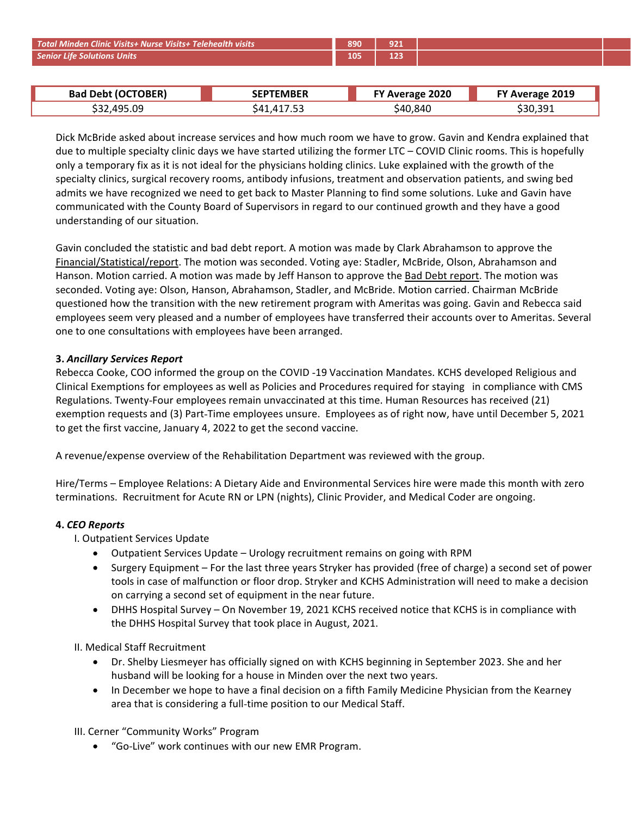| Total Minden Clinic Visits+ Nurse Visits+ Telehealth visits |                  | 890 | 921             |                 |
|-------------------------------------------------------------|------------------|-----|-----------------|-----------------|
| <b>Senior Life Solutions Units</b>                          |                  | 105 | 123             |                 |
|                                                             |                  |     |                 |                 |
| <b>Bad Debt (OCTOBER)</b>                                   | <b>SEPTEMBER</b> |     | FY Average 2020 | FY Average 2019 |
| \$32,495.09                                                 | \$41,417.53      |     | \$40,840        | \$30,391        |
|                                                             |                  |     |                 |                 |

| <b>TOBER</b> )<br>ำ≀<br><b>Bad Debt</b> | <b>SEPTEMBER</b>                                   | 2020<br>Average | 2019<br><b>Average</b> |
|-----------------------------------------|----------------------------------------------------|-----------------|------------------------|
| ,495.09<br>←ລລ<br>532,                  | $ -$<br>71<br>$\mathbf{u}$<br>. . <i>. .</i><br>т. | 40,840<br>54C   | \$30,391               |

mden Clinic Visits+ Nurse Visits+ Telehealth visits<br>
September 105 123<br>
Bad Debt (OCTOBER) SEPTEMBER FY Average 2020 FY Average 2019<br>
S32,495.09 \$41,417.53 \$40,840 \$30,391<br>
Ex McBride asked about increase services and how **Example as a Number Clinic Visits+ Nurse Visits+ Telehealth visits<br>
Bad Debt (OCTOBER)<br>
Sald Debt (OCTOBER)<br>
Sald Debt (OCTOBER)<br>
Sald Debt (OCTOBER)<br>
Sald Debt (OCTOBER)<br>
Sald Debt (OCTOBER)<br>
Sald After Sales Asked about** Minden Clinic Visits+ Nurse Visits+ Telehealth visits<br> **Bad Debt (OCTOBER)** SEPTEMBER FY Average 2020 FY Average 2019<br>
S32,495.09 S41,417.53 S40,840 S30,391<br>
Dick McBride asked about increase services and how much room we **CONFIGUATE:** Minden Clinic Visits+ Nurse Visits+ Telehealth visits<br> **Bad Debt (OCTOBER)**<br> **SEPTEMBER** FY Average 2020 FY Average 2019<br>
S32,495.09 \$41,417.53 FY Average 2020 FY Average 2019<br>
Dick McBride asked about increa Specialty Clinic Visits at Nurse Visits at Telehealth visits<br> **Bad Debt (OCTOBER)**<br>
Sack 105 and 105 and 105 and 108 and 108 and 108 and 108 and 108 and 108 and 108 and 108 and 108 and 108 and<br>
Dick McBride asked about inc **Example 19 Concept 19 Concept 19 Concept 19 Concept 19 Concept 19 Concept 19 Concept 19 Concept 19 Concept 19 Concept 19 Concept 19 Concept 19 Concept 19 Concept 19 Concept 19 Concept 19 Concept 19 Concept 19 Concept 19 C Example 10 Example 10 COUNT COUNT COUNT COUNT COUNT COUNT COUNT COUNT COUNT COUNT COUNT COUNT COUNT COUNT COUNT COUNT COUNT COUNT COUNT COUNT COUNT COUNT COUNT COUNT COUNT COUNT COUNT COUNT COUNT COUNT COUNT COUNT COU** Minden Clinic Visits+ Nurse Visits+ Telehealth visits<br>
890 921<br>
890 921<br>
890 921<br>
890 921<br>
890 921<br>
890 921<br>
890 921<br>
890 921<br>
890 921<br>
890 921<br>
890 921<br>
890 921<br>
890 921<br>
890 921<br>
890 921<br>
890 921<br>
890 921<br>
890 921<br>
890 9 Minden Clinic Visits+ Russe Visits+ Telehealth wisits<br> **Bad Debt (OCTOBER)** Sate of the statistic and how much room we have to grow. Gavin and Kendra explained that<br>
Sate Statistic asked about increase services and how muc

Financial/Statistical/report. The motion was seconded. Voting aye: Stadler, McBridge. Several one consultations with employees have been arranged.<br>The consumer of the motion was services and how much room we have to grow. Minden Clinic Wister Nurse Wister Telehechth wists<br> **Bad Debt (CCTOBER)** SEPTEMBER FTA Were age 2020 FTA Average 2019<br>
SEPTEMBER FTA A more age 2020 STA A more and the SEPTEMBER FTA A more and New SEP of Many of the SEP of Seconded. Visites Nurse Visites Teleheolity wisits<br> **Bad Debt (OCTOBER)** SEPTEMBER FRIEM SEPTEMBER FRIEM SAGAD S30,391<br>
S40,840 S32,495.09 S41,417.53 S40,840 S30,391<br>
Dick McBride asked about increase services and how much munical method of the transition with the new retirement program with Ameritas was going. Gavin and Rendra explained that due to multiple specialty clinic days we have started utilizing the former LTC – COVID Clinic rooms. **Example 10 September 10 September 10 September 10 September 10 September 10 September 10 September 10 September 10 September 10 September 10 September 10 September 10 September 10 September 10 September 10 September 10 Se Bad Debt (OCTOBER) SEPTEMBER EY Average 2020 EY Average 2019**<br> **S40,840 530,391**<br>
Dick McBride asked about increase services and how much room we have to grow. Gavin and Kendra explained that<br>
due to multiple spec  $$32,495.09$ <br>  $$41,417.53$ <br>
Sa2,840<br>
Dick McBride asked about increase services and how much room we have to grow. Gavin and<br>
due to multiple specialty clinic days we have started utilizing the former LTC – COVID Clinic r Dick McBride asked about increase services and how much room we have to grow. Gavin and Kendra explained that<br>due to multiple specialty clinic days we have started utilizing the former LTC – COVID Clinic rooms. This is hop Dick McBride asked about increase services and how much room we have to grow. Gavin and Kendra explained that<br>due to multiple specialty clinic days we have started utilizing the former. ITC – COVID Clinic rooms. This is ho due to multiple specially clinic days we have started utilizing the former LTC – COVID Clinic rooms. This is hopefully<br>due to multiple specially clinic days we have started utilizing the former LTC – COVID Clinic rooms. Th exemption requests and is not the Rehabilitation Department and observation request and the strong order of the speciality thince, surgical recovery rooms, ambudy infisions, treatment and observation partients, and swing b specialty clinics, surgical recovery rooms, antibody infusions, treatment and observation patients, and swing bed<br>admits we have recognized we need to get bask to Mokstor Planuing to find some solutions. Luke and Gavin hav communicated with the County Board of Supervisors in regard to our continued growth and they have a good<br>understanding of our situation.<br>Cavin concluded the statistical read bad debt report. A motion was made by Clark Abra Gavin concluded the statistic and bad debt report. A motion was made by Clark Abrahamson to approve the <u>Financial/Statistical/report</u>. The motion was seconded. Voting aye: Stadler, McBride, Dison, Abrahamson and Hanson. M Gavin concluded the statistic and bad debt report. A motion was made by Clark Abrahamson to approve the Himacial/Statistical/Ceport. The motion was seconded. Voting aye: Statister, McBride, Olson, Abrahamson and Himacia. T Thumanon. Motion crarried. A motion was made by Jeff Hanson to approve the <u>Bad</u><br>Hanson. Motion carried. A motion was made by Jeff Hanson to approve the <u>Bad</u><br>seconded. Voting aye: Olson, Hanson, Abrahamson, Stadler, and M

For the services Update - Unclogary and Environmental Services Inc. The Super Constraine Counter of the CHS and MCBride. Notion carried. Chairmationed how the transition with the new retirement program with Ameritas was go how the transition with the new retirement program with Ameritas was going. Gavin and Rebecca said<br>exervicy pleased and a number of employees have transferred their accounts over to Ameritas. Several<br>consultations with emp eem very pleased and a number of employees have transferred their accounts over to Ameritas. Several<br>onsultations with employees have been arranged.<br>Services Report<br>Surgery Equipment the group on the COVID-19 Vaccination M sonsultations with employees have been arranged.<br> **Services Report**<br>
Services Report<br>
or informed the group on the COVID-19 Vaccination Mandates. KCHS developed Religious and<br>
protons from phoyees as well as Policies and P **Services Report**<br>Services Report<br>Soke, COO informed the group on the COVID-19 Vaccination Mandates. KCHS developed Religious and<br>protions for employees as well as Policies and Procedures required for staying in compliance **Services Report**<br>
Sue, COO informed the group on the COVID-19 Vaccination Mandates. KCHS developed Religious and<br>
photons for employees as well as Policies and Procedures required for staying in compliance with CMS<br>
Twent ske, COO informed the group on the COVID -19 Vaccination Mandates. KCHS developed Religious and<br>protons for employees as well as Policies and Procedures required for staying in compliance with CMS<br>Twenty-Four employees rem Collainty of Employees as were as voltered and through the properties are the near function of state and the first vaccine in the first vaccine is applion requests and (3) Part-Time employees unsure. Employees as of right

- 
- Tructive completes and pair entitive method with the method with the streament the streament that the streament the streament state in a streament was reviewed with the group.<br>
Shelby Aractine, January 4, 2022 to get the s eyes as a method of your sime of the Rehabilitation Department was reviewed with the group.<br>
st vaccine, January 4, 2022 to get the second vaccine.<br>
spense overview of the Rehabilitation Department was reviewed with the gr In December we hope to have a final decision on a fith Family Medicine Physician from the Kearney of SC-<br>
In Player Relations: A Dietary Aide and Environmental Services hire were made this month with zero<br>
In Ecclember Rel xpense overview of the Rehabilitation Department was reviewed with the group.<br>
– Employee Relations: A Dietary Aide and Environmental Services hire were made this month with zero<br>
5. Recruitment for Acute RN or LPN (nights Terms – Employee Relations: A Dietary Aide and Environmental Services hire were made this mortalisms. Recruitment for Acute RN or LPN (nights), Clinic Provider, and Medical Coder are ongoinal.<br>
I. Outpatient Services Updat S. Recruitment for Acute RN or LPN (nights), Clinic Provider, and Medical Coder are ongoing.<br>
Intistic Services Update<br>
Etient Services Update<br>
Etient Services Update<br>
Etient Services Update<br>
Surgery Equipment – For the la
	-

- 
-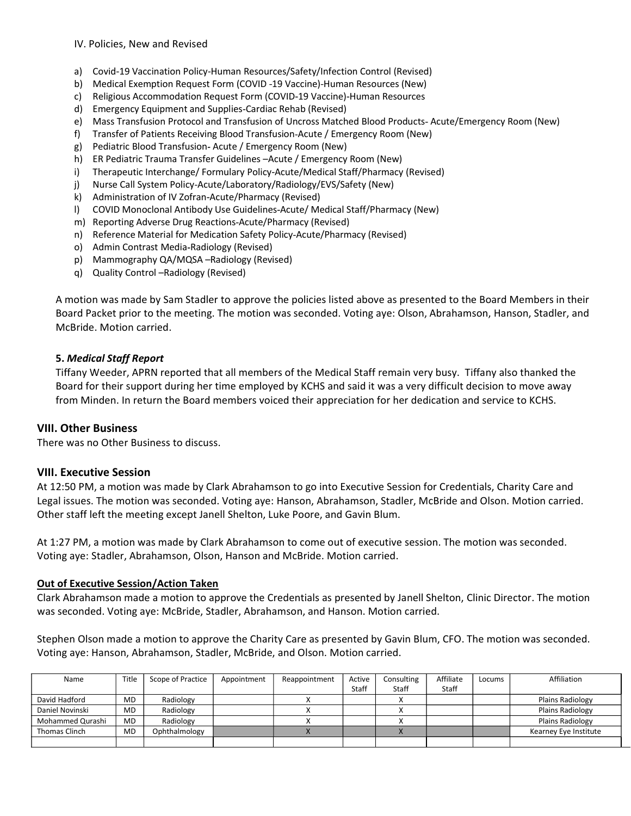- 
- IV. Policies, New and Revised<br>
a) Covid-19 Vaccination Policy-Human Resources/Safety/Infection Control (Revised)<br>
b) Medical Exemption Request Form (COVID-19 Vaccine)-Human Resources (New)<br>
c) Emergency Equipment and Suppl
- 
- 
- IV. Policies, New and Revised<br>a) Covid-19 Vaccination Policy-Human Resources/Safety/Infection Control (Revised)<br>b) Medical Exemption Request Form (COVID-19 Vaccine)-Human Resources (New)<br>c) Religious Accommodation Request IV. Policies, New and Revised<br>a) Covid-19 Vaccination Policy-Human Resources/Safety/Infection Control (Revised)<br>b) Medical Exemption Request Form (COVID -19 Vaccine)-Human Resources (New)<br>c) Religious Accommodation Request i<br>Policies, New and Revised<br>According Request Form (COVID -19 Vaccine)-Human Resources (New)<br>C) Religious Accommodation Request Form (COVID -19 Vaccine)-Human Resources (New)<br>Accommodation Request Form (COVID -19 Vaccine)-IV. Policies, New and Revised<br>a) Covid-19 Vaccination Policy-Human Resources/Safety/Infection Control (Revised)<br>b) Medical Exemption Request Form (COVID-19 Vaccine)-Human Resources (New)<br>c) Religious Accommodation Request iV. Policies, New and Revised<br>a) Covid-19 Vaccination Policy-Human Resources/Safety/Infection Control (Revised)<br>b) Medical Exemption Request Form (COVID-19 Vaccine)-Human Resources (New)<br>c) Religious Accommodation Request iV. Policies, New and Revised<br>a) Covid-19 Vaccination Policy-Human Resources/Safety/Infection Control (Revised)<br>b) Medical Exemption Request Form (COVID -19 Vaccine)-Human Resources (New)<br>c) Religious Accommodation Request IV. Policies, New and Revised<br>a) Covid-19 Vaccination Policy-Human Resources/Safety/Infection Control (Revised)<br>b) Medical Exemption Request Form (COVID-19 Vaccine)-Human Resources (New)<br>c) Religious Accommodation Request iV. Policies, New and Revised<br>a) Covid-19 Vaccination Policy-Human Resources/Safety/Infection Control (Revised)<br>b) Medical Exemption Request Form (COVID-19 Vaccine)-Human Resources (New)<br>d) Emergency Equipoment and Supplie iV. Policies, New and Revised<br>a) Covid-19 Vaccination Policy-Human Resources/Safety/Infection Control (Revised)<br>b) Medical Exemption Request Form (COVID-19 Vaccine)-Human Resources (New)<br>c) Religious Accommodation Request iv. Policies, New and Revised<br>
a) Covid-19 Vaccination Policy-Human Resources/Safety/Infection Control (Revised)<br>
b) Medical Exemption Request Form (COVID-19 Vaccine)-Human Resources (New)<br>
c) Religious Accommodation Reque i<br>
IV. Policies, New and Revised<br>
a) Covid-19 Vaccination Policy-Human Resources/Safety/Infection Control (Revised)<br>
b) Medical Exemption Request Form (COVID-19 Vaccine)-Human Resources (New)<br>
c) Religious Accommodation Re l)<br>
IV. Policies, New and Revised<br>
a) Covid-19 Vaccination Policy-Human Resources/Safety/Infection Control (Revised)<br>
1) Medical Exemption Request Form (COVID-19 Vaccine)-Human Resources (New)<br>
c) Religious Accommodation R IV. Policies, New and Revised<br>
a) Covid-19 Vaccination Policy-Human Resources/Safety/Infection Control (Revised)<br>
b) Medical Exemption Request Form (COVID-19 Vaccine)-Human Resources (New)<br>
c) Religious Accommodation Reque
- 
- 
- 
- 
- 
- 
- 
- 
- 
- 
- 
- 

n)<br>
No Covid-19 Vaccination Policy-Human Resources/Safety/Infection Control (Revised)<br>
e) Medical Exemption Request Form (COVID-19 Vaccine)-Human Resources (New)<br>
e) Religious Accommodation Request Form (COVID-19 Vaccine)-N'. Policies, New and Revised<br>
a) Covid-19 Vaccination Policy-Human Resources/Safety/Infection Control (Revised)<br>
b) Medical Exemption Request Form (COVID-19 Vaccine)-Human Resources (New)<br>
c) Religious Accommodation Reque IV. Policies, New and Revised<br>
a) Covid-19 Vaccination Policy-Human Resources/Safety/Infection Control (Revised)<br>
b) Medical Exemption Request Form (COVID-19 Vaccine)-Human Resources (New)<br>
c) Religious Accommodation Reque IV. Policies, New and Revised<br>
a) Covid-19 Vaccination Policy-Human Resources/Safety/Infection Control (Revised)<br>
b) Medical Exemption Request Form (COVID-19 Vaccine)-Human Resources (New)<br>
c) Religious Accommodation Reque IV. Policies, New and Revised<br>
a) Covid-19 Vaccina Policy-Human Resources/Safety/Infection Control (Revised)<br>
Medical Exemption Request Form (COVID-19 Vaccine)-Human Resources (New)<br>
c) Religious Accommodation Request Form a) Covid-19 Vaccination Policy-Human Resources/Safety/Infection Control (Revised)<br>
b) Neligious Accommodation Request Form (COVID-19 Vaccine)-Human Resources<br>
c) Religious Accommodation Request Form (COVID-19 Vaccine)-Huma a) Covid-19 Vaccination Policy-Human Resources/Safety/Infection Control (Revised)<br>b) Medical Exemption Request Form (COVID-19 Vaccine)-Human Resources (New)<br>c) Religious Accommodation Request Form (COVID-19 Vaccine)-Human e) Mass Transition Protocol and Transfusion of Uncross Matched Blood Products- Acute/Emergency Room (New)<br>
f) Transfer of Patients Receiving Blood Transfusion-Acute / Emergency Room (New)<br>
b) ERedistric Rivieral Transfusio f) Transfer of Peatents Receiving Blood Transfusion-Actuar (Emergency Room (New)<br>
Ni ER Pediatric Trauma Transfer Guodielines -Actuar (*E* Imergency Room (New)<br>
IN Therapeutic frame Transfer Guodielines -Actuar (*E* Imerge e) Pediatric Blood Transfusion-Actual (> Emergeney Room (New)<br>
1) ER Pediatric Trauma Transfer Guidelines -Actual (> Imergency Room (New)<br>
1) Therspectruc Interchange/ Formulary Policy-Actual/Medical Staff/Pharmacy (Revis

dependent metalliers. Cardia Rehab (Revised)<br>
19 Imergency Equipment and Supplies-Cardia Rehab (Revised)<br>
e) Mass Transfusion Protocol and Transfusion of Uncross Matchel Blood Products-Acute/En<br>
f) Transfer of Patients Rec i) Therapeutic Interchange/ Formulary Policy-Actie/Medical Staff/Pharmacy (Revise)<br>
J) Nurse Call System Policy-Actie/Aboratory/Radiology/EVS/Safety (New)<br>
1) COVID Monoclonal Antibiody Use Guidelines-Actue/Pharmacy (Revis

Network of March Policy-Action (Alexandroy Ration Concept)<br>
K Administration of IV Zofran-Action Pharmacy (Revised)<br>
Network of March Policy-Action Safety Policial Staff/Pharmacy (New)<br>
(New)<br>
m) Reporting Adverse Drug Rea m) Reporting Adverse Drug Reactions-Acute/Pharmacy (Revised)<br>
n) Reference Material for Medication Safety Policy-Acute/Pharmacy (Revised)<br>
o) Admin Contrast Media-Radiology (Revised)<br>
p) Mammography QA/MQSA -Radiology (Rev n) Reference Material for Medication Safety Policy-Acute/Pharmacy (Revised)<br>
and Memin Contrast Media-Radiology (Revised)<br>
p) Mammography QA/MGSA-Radiology (Revised)<br>
and Quality Control -Radiology (Revised)<br>
and Ouality C o) Admin Contrast Medsi-Radiology (Revised)<br>
p) Mammography OA/MOSA -Radiology (Revised)<br>
a) Quality Control -Radiology (Revised)<br>
A motion was made by Sam Stadler to approve the policies listed above as presented to the B p) Mammography QA/MQSA-Radiology (Revised)<br>
q) Quality Control --Radiology (Revised)<br>
A motion was made by Sam Stadler to approve the policies listed above as presented to the Board Members in their<br>
Board Packet prior to A motion was made by Sam Stadler to approve the policies listed above as presented to the Board Members in their<br>Board Packet prior to the meeting. The motion was seconded. Voting aye: Olson, Abrahamson, Hanson, Stadler, a A motion was made by Sam Stadler to approve the policies listed above as presented to the Board Members in their<br>Board Packet prior to the meeting. The motion was seconded. Voting aye: Olson, Abrahamson, Hanson, Stadler, a McBride. Motion carried.<br>
5. **Medical Staff Report**<br>
Tiffany Weeder, APRN reported that all members of the Medical Staff remain very busy. Tiffany also the<br>
Board for their support during her time employed by KCHS and said **5. Medical Staff Report**<br>Tiffany Weeder, APRN reported that all members of the Medical Staff remain very busy. Tiffany also thanked the<br>Board for their support during her time employed by KCHS and said it was a very diffi 5. Medical Stadf Report<br>
Tiflany Weeder, APRN reported that all members of the Medical Staff remain very busy. Tiflany also thanked the<br>
Tiflany Weeder, APRN reported that all members voiced their appreciation for her dedi

|                                                                                                                                                                                                                                                                                                                                                                                                                                                                                                                                                             |           | Board for their support during her time employed by KCHS and said it was a very difficult decision to move away<br>from Minden. In return the Board members voiced their appreciation for her dedication and service to KCHS. |             |               |                 |                     |                    |        |                                                                                                                                                                                                                                            |
|-------------------------------------------------------------------------------------------------------------------------------------------------------------------------------------------------------------------------------------------------------------------------------------------------------------------------------------------------------------------------------------------------------------------------------------------------------------------------------------------------------------------------------------------------------------|-----------|-------------------------------------------------------------------------------------------------------------------------------------------------------------------------------------------------------------------------------|-------------|---------------|-----------------|---------------------|--------------------|--------|--------------------------------------------------------------------------------------------------------------------------------------------------------------------------------------------------------------------------------------------|
| <b>VIII. Other Business</b><br>There was no Other Business to discuss.                                                                                                                                                                                                                                                                                                                                                                                                                                                                                      |           |                                                                                                                                                                                                                               |             |               |                 |                     |                    |        |                                                                                                                                                                                                                                            |
| <b>VIII. Executive Session</b><br>At 12:50 PM, a motion was made by Clark Abrahamson to go into Executive Session for Credentials, Charity Care and<br>Legal issues. The motion was seconded. Voting aye: Hanson, Abrahamson, Stadler, McBride and Olson. Motion carried.<br>Other staff left the meeting except Janell Shelton, Luke Poore, and Gavin Blum.<br>At 1:27 PM, a motion was made by Clark Abrahamson to come out of executive session. The motion was seconded.<br>Voting aye: Stadler, Abrahamson, Olson, Hanson and McBride. Motion carried. |           |                                                                                                                                                                                                                               |             |               |                 |                     |                    |        |                                                                                                                                                                                                                                            |
| <b>Out of Executive Session/Action Taken</b><br>was seconded. Voting aye: McBride, Stadler, Abrahamson, and Hanson. Motion carried.<br>Voting aye: Hanson, Abrahamson, Stadler, McBride, and Olson. Motion carried.                                                                                                                                                                                                                                                                                                                                         |           |                                                                                                                                                                                                                               |             |               |                 |                     |                    |        | Clark Abrahamson made a motion to approve the Credentials as presented by Janell Shelton, Clinic Director. The motion<br>Stephen Olson made a motion to approve the Charity Care as presented by Gavin Blum, CFO. The motion was seconded. |
| Name                                                                                                                                                                                                                                                                                                                                                                                                                                                                                                                                                        | Title     | Scope of Practice                                                                                                                                                                                                             | Appointment | Reappointment | Active<br>Staff | Consulting<br>Staff | Affiliate<br>Staff | Locums | Affiliation                                                                                                                                                                                                                                |
| David Hadford                                                                                                                                                                                                                                                                                                                                                                                                                                                                                                                                               | MD        | Radiology                                                                                                                                                                                                                     |             | X             |                 | X                   |                    |        | <b>Plains Radiology</b>                                                                                                                                                                                                                    |
| Daniel Novinski                                                                                                                                                                                                                                                                                                                                                                                                                                                                                                                                             | <b>MD</b> | Radiology                                                                                                                                                                                                                     |             | X             |                 | $\times$            |                    |        | <b>Plains Radiology</b>                                                                                                                                                                                                                    |
| Mohammed Qurashi                                                                                                                                                                                                                                                                                                                                                                                                                                                                                                                                            | MD        | Radiology                                                                                                                                                                                                                     |             | X             |                 | X                   |                    |        | <b>Plains Radiology</b>                                                                                                                                                                                                                    |
| Thomas Clinch                                                                                                                                                                                                                                                                                                                                                                                                                                                                                                                                               | MD        | Ophthalmology                                                                                                                                                                                                                 |             | $\mathsf{X}$  |                 | $\mathsf{X}$        |                    |        | Kearney Eye Institute                                                                                                                                                                                                                      |
|                                                                                                                                                                                                                                                                                                                                                                                                                                                                                                                                                             |           |                                                                                                                                                                                                                               |             |               |                 |                     |                    |        |                                                                                                                                                                                                                                            |
|                                                                                                                                                                                                                                                                                                                                                                                                                                                                                                                                                             |           |                                                                                                                                                                                                                               |             |               |                 |                     |                    |        |                                                                                                                                                                                                                                            |